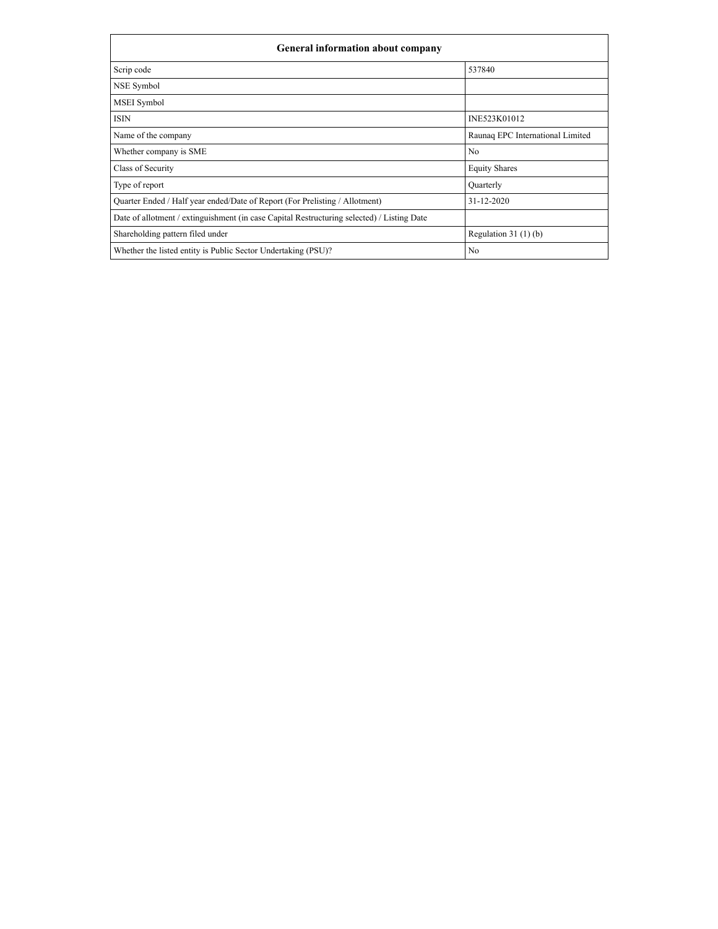| <b>General information about company</b>                                                   |                                  |  |  |  |  |  |  |
|--------------------------------------------------------------------------------------------|----------------------------------|--|--|--|--|--|--|
| Scrip code                                                                                 | 537840                           |  |  |  |  |  |  |
| NSE Symbol                                                                                 |                                  |  |  |  |  |  |  |
| MSEI Symbol                                                                                |                                  |  |  |  |  |  |  |
| <b>ISIN</b>                                                                                | INE523K01012                     |  |  |  |  |  |  |
| Name of the company                                                                        | Raunaq EPC International Limited |  |  |  |  |  |  |
| Whether company is SME                                                                     | No                               |  |  |  |  |  |  |
| Class of Security                                                                          | <b>Equity Shares</b>             |  |  |  |  |  |  |
| Type of report                                                                             | Quarterly                        |  |  |  |  |  |  |
| Quarter Ended / Half year ended/Date of Report (For Prelisting / Allotment)                | 31-12-2020                       |  |  |  |  |  |  |
| Date of allotment / extinguishment (in case Capital Restructuring selected) / Listing Date |                                  |  |  |  |  |  |  |
| Shareholding pattern filed under                                                           | Regulation $31(1)(b)$            |  |  |  |  |  |  |
| Whether the listed entity is Public Sector Undertaking (PSU)?                              | No                               |  |  |  |  |  |  |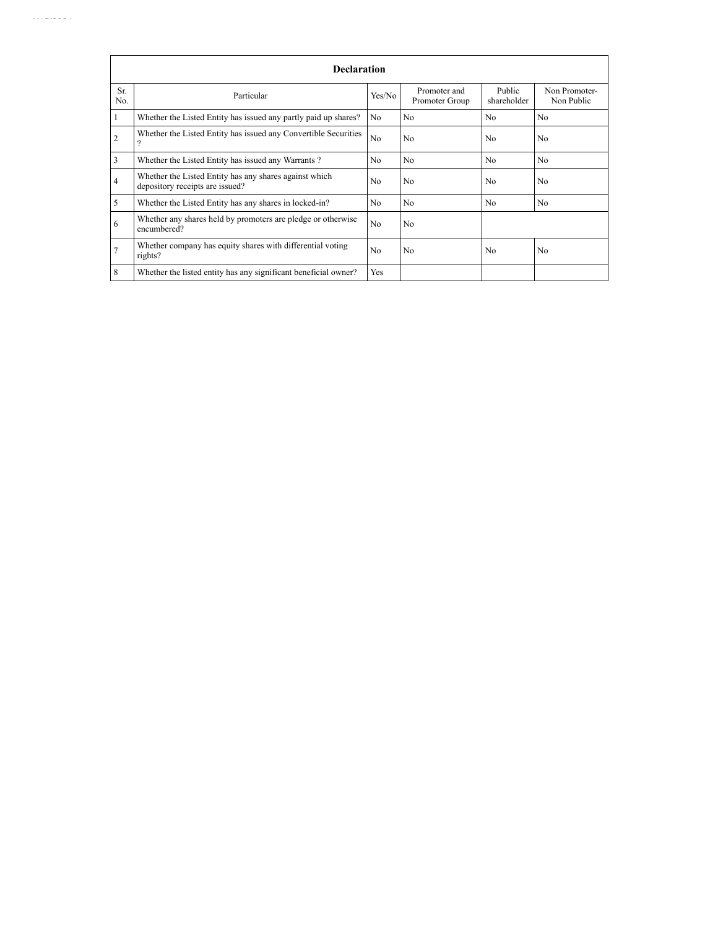| Sr.<br>No. | Particular                                                                                | Yes/No         | Promoter and<br>Promoter Group | Public<br>shareholder | Non Promoter-<br>Non Public |
|------------|-------------------------------------------------------------------------------------------|----------------|--------------------------------|-----------------------|-----------------------------|
|            | Whether the Listed Entity has issued any partly paid up shares?                           | No             | No                             | No                    | N <sub>o</sub>              |
| 2          | Whether the Listed Entity has issued any Convertible Securities                           | No             | No                             | N <sub>o</sub>        | No                          |
| 3          | Whether the Listed Entity has issued any Warrants?                                        | N <sub>o</sub> | N <sub>o</sub>                 | N <sub>o</sub>        | N <sub>o</sub>              |
| 4          | Whether the Listed Entity has any shares against which<br>depository receipts are issued? | N <sub>o</sub> | No                             | N <sub>o</sub>        | No                          |
| 5          | Whether the Listed Entity has any shares in locked-in?                                    | No             | No                             | N <sub>o</sub>        | No                          |
| 6          | Whether any shares held by promoters are pledge or otherwise<br>encumbered?               | No             | N <sub>o</sub>                 |                       |                             |
|            | Whether company has equity shares with differential voting<br>rights?                     | N <sub>o</sub> | No                             | N <sub>o</sub>        | No                          |
| 8          | Whether the listed entity has any significant beneficial owner?                           | Yes            |                                |                       |                             |

1/15/2021 SHP. Https://www.com/second-com/second-com/second-com/second-com/second-com/second-com/second-com/se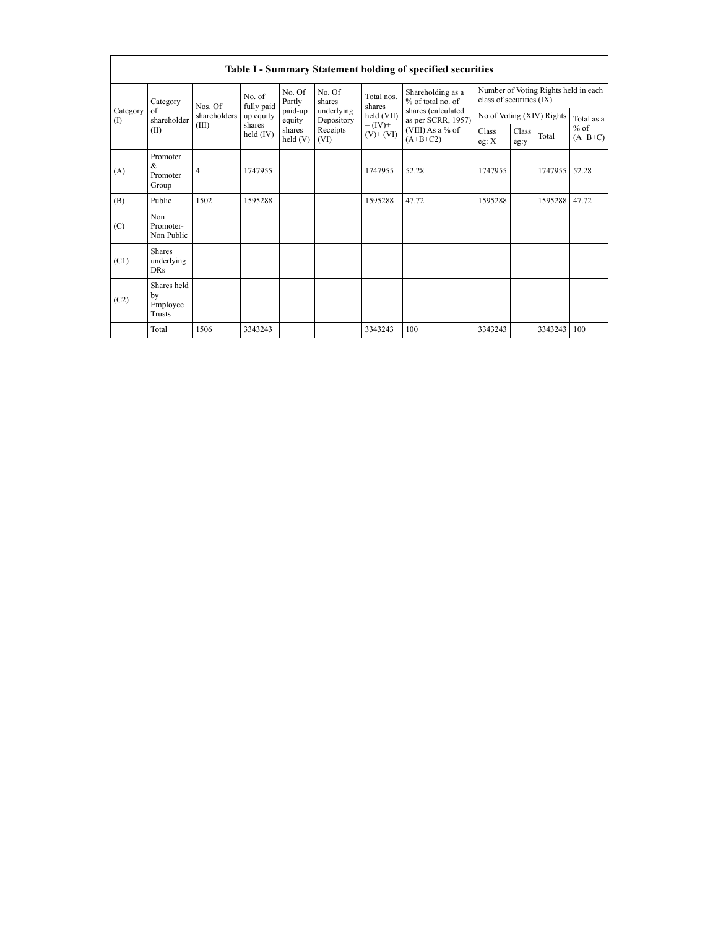|               | <b>Table I - Summary Statement holding of specified securities</b> |                |                       |                      |                          |                                                   |                                                                                                                      |                                                                  |               |         |                     |  |  |  |
|---------------|--------------------------------------------------------------------|----------------|-----------------------|----------------------|--------------------------|---------------------------------------------------|----------------------------------------------------------------------------------------------------------------------|------------------------------------------------------------------|---------------|---------|---------------------|--|--|--|
| Category<br>( | Category                                                           | Nos. Of        | No. of<br>fully paid  | No. Of<br>Partly     | No. Of<br>shares         | Total nos.<br>shares                              | Shareholding as a<br>% of total no. of<br>shares (calculated<br>as per SCRR, 1957)<br>(VIII) As a % of<br>$(A+B+C2)$ | Number of Voting Rights held in each<br>class of securities (IX) |               |         |                     |  |  |  |
|               | of<br>shareholder                                                  | shareholders   | up equity             | paid-up<br>equity    | underlying<br>Depository | held (VII)<br>$= (\text{IV})^+$<br>$(V)$ + $(VI)$ |                                                                                                                      | No of Voting (XIV) Rights                                        |               |         | Total as a          |  |  |  |
|               | (II)                                                               | (III)          | shares<br>held $(IV)$ | shares<br>held $(V)$ | Receipts<br>(VI)         |                                                   |                                                                                                                      | Class<br>eg: $X$                                                 | Class<br>eg:y | Total   | $%$ of<br>$(A+B+C)$ |  |  |  |
| (A)           | Promoter<br>&<br>Promoter<br>Group                                 | $\overline{4}$ | 1747955               |                      |                          | 1747955                                           | 52.28                                                                                                                | 1747955                                                          |               | 1747955 | 52.28               |  |  |  |
| (B)           | Public                                                             | 1502           | 1595288               |                      |                          | 1595288                                           | 47.72                                                                                                                | 1595288                                                          |               | 1595288 | 47.72               |  |  |  |
| (C)           | Non<br>Promoter-<br>Non Public                                     |                |                       |                      |                          |                                                   |                                                                                                                      |                                                                  |               |         |                     |  |  |  |
| (C1)          | <b>Shares</b><br>underlying<br><b>DRs</b>                          |                |                       |                      |                          |                                                   |                                                                                                                      |                                                                  |               |         |                     |  |  |  |
| (C2)          | Shares held<br>bv<br>Employee<br><b>Trusts</b>                     |                |                       |                      |                          |                                                   |                                                                                                                      |                                                                  |               |         |                     |  |  |  |
|               | Total                                                              | 1506           | 3343243               |                      |                          | 3343243                                           | 100                                                                                                                  | 3343243                                                          |               | 3343243 | 100                 |  |  |  |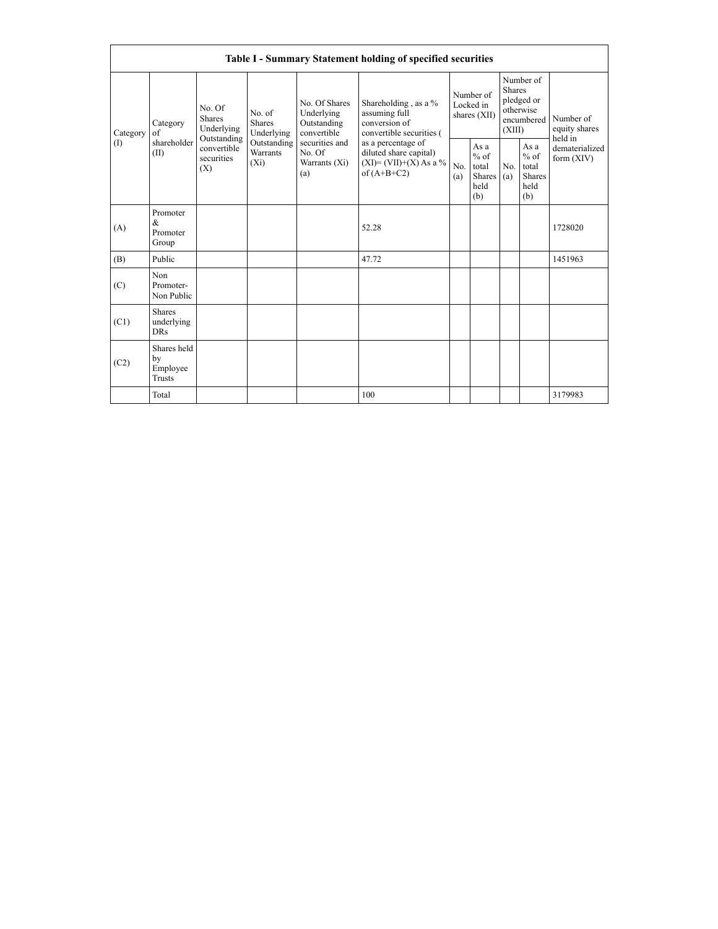|                 |                                                                 |                                                 |                                       |                                                           | Table I - Summary Statement holding of specified securities                                |                                        |                                                  |                                                                               |                                                  |                                       |
|-----------------|-----------------------------------------------------------------|-------------------------------------------------|---------------------------------------|-----------------------------------------------------------|--------------------------------------------------------------------------------------------|----------------------------------------|--------------------------------------------------|-------------------------------------------------------------------------------|--------------------------------------------------|---------------------------------------|
| Category<br>(1) | No. Of<br><b>Shares</b><br>Category<br>Underlying<br>$\alpha$ f |                                                 | No. of<br><b>Shares</b><br>Underlying | No. Of Shares<br>Underlying<br>Outstanding<br>convertible | Shareholding , as a $\%$<br>assuming full<br>conversion of<br>convertible securities (     | Number of<br>Locked in<br>shares (XII) |                                                  | Number of<br><b>Shares</b><br>pledged or<br>otherwise<br>encumbered<br>(XIII) |                                                  | Number of<br>equity shares<br>held in |
|                 | shareholder<br>(II)                                             | Outstanding<br>convertible<br>securities<br>(X) | Outstanding<br>Warrants<br>$(X_i)$    | securities and<br>No. Of<br>Warrants (Xi)<br>(a)          | as a percentage of<br>diluted share capital)<br>$(XI) = (VII)+(X) As a %$<br>of $(A+B+C2)$ | No.<br>(a)                             | As a<br>$%$ of<br>total<br>Shares<br>held<br>(b) | No.<br>(a)                                                                    | As a<br>$%$ of<br>total<br>Shares<br>held<br>(b) | dematerialized<br>form (XIV)          |
| (A)             | Promoter<br>$\&$<br>Promoter<br>Group                           |                                                 |                                       |                                                           | 52.28                                                                                      |                                        |                                                  |                                                                               |                                                  | 1728020                               |
| (B)             | Public                                                          |                                                 |                                       |                                                           | 47.72                                                                                      |                                        |                                                  |                                                                               |                                                  | 1451963                               |
| (C)             | Non<br>Promoter-<br>Non Public                                  |                                                 |                                       |                                                           |                                                                                            |                                        |                                                  |                                                                               |                                                  |                                       |
| (C1)            | Shares<br>underlying<br><b>DRs</b>                              |                                                 |                                       |                                                           |                                                                                            |                                        |                                                  |                                                                               |                                                  |                                       |
| (C2)            | Shares held<br>by<br>Employee<br>Trusts                         |                                                 |                                       |                                                           |                                                                                            |                                        |                                                  |                                                                               |                                                  |                                       |
|                 | Total                                                           |                                                 |                                       |                                                           | 100                                                                                        |                                        |                                                  |                                                                               |                                                  | 3179983                               |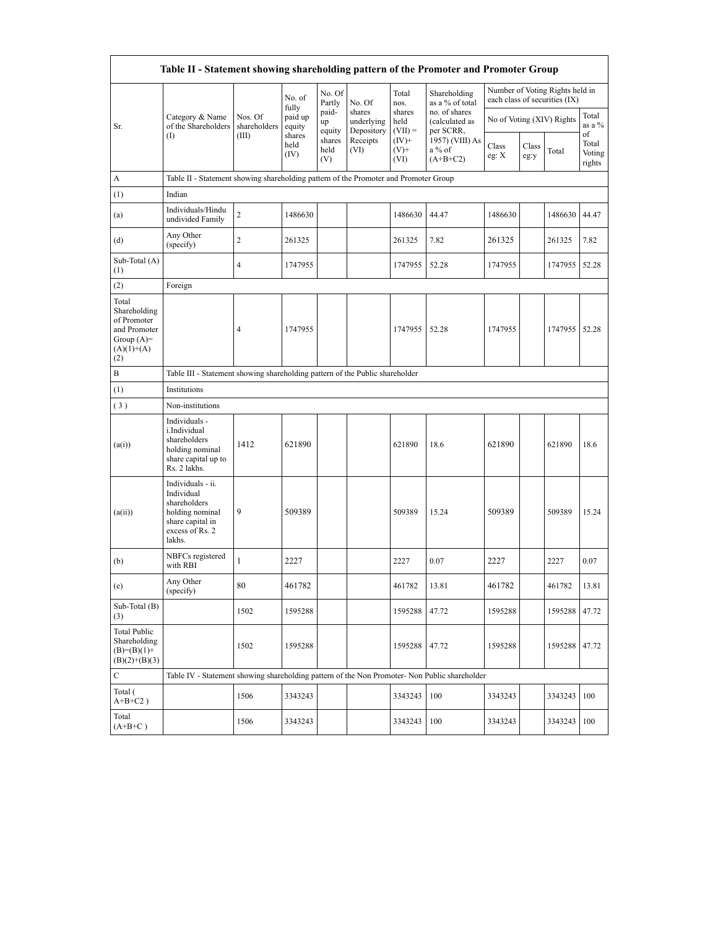| Table II - Statement showing shareholding pattern of the Promoter and Promoter Group        |                                                                                                                     |                         |                            |                       |                                    |                             |                                                                                         |                |               |                                                                  |                                 |  |
|---------------------------------------------------------------------------------------------|---------------------------------------------------------------------------------------------------------------------|-------------------------|----------------------------|-----------------------|------------------------------------|-----------------------------|-----------------------------------------------------------------------------------------|----------------|---------------|------------------------------------------------------------------|---------------------------------|--|
|                                                                                             |                                                                                                                     |                         | No. of                     | No. Of<br>Partly      | No. Of                             | Total<br>nos.               | Shareholding<br>as a % of total                                                         |                |               | Number of Voting Rights held in<br>each class of securities (IX) |                                 |  |
| Sr.<br>$($ $\Gamma$                                                                         | Category & Name<br>of the Shareholders                                                                              | Nos. Of<br>shareholders | fully<br>paid up<br>equity | paid-<br>up<br>equity | shares<br>underlying<br>Depository | shares<br>held<br>$(VII) =$ | no. of shares<br>(calculated as<br>per SCRR,<br>1957) (VIII) As<br>a % of<br>$(A+B+C2)$ |                |               | No of Voting (XIV) Rights                                        | Total<br>as a %                 |  |
|                                                                                             |                                                                                                                     | (III)                   | shares<br>held<br>(IV)     | shares<br>held<br>(V) | Receipts<br>(VI)                   | $(IV)^+$<br>$(V)$ +<br>(VI) |                                                                                         | Class<br>eg: X | Class<br>eg:y | Total                                                            | of<br>Total<br>Voting<br>rights |  |
| A                                                                                           | Table II - Statement showing shareholding pattern of the Promoter and Promoter Group                                |                         |                            |                       |                                    |                             |                                                                                         |                |               |                                                                  |                                 |  |
| (1)                                                                                         | Indian                                                                                                              |                         |                            |                       |                                    |                             |                                                                                         |                |               |                                                                  |                                 |  |
| (a)                                                                                         | Individuals/Hindu<br>undivided Family                                                                               | $\sqrt{2}$              | 1486630                    |                       |                                    | 1486630                     | 44.47                                                                                   | 1486630        |               | 1486630                                                          | 44.47                           |  |
| (d)                                                                                         | Any Other<br>(specify)                                                                                              | $\overline{2}$          | 261325                     |                       |                                    | 261325                      | 7.82                                                                                    | 261325         |               | 261325                                                           | 7.82                            |  |
| Sub-Total (A)<br>(1)                                                                        |                                                                                                                     | 4                       | 1747955                    |                       |                                    | 1747955                     | 52.28                                                                                   | 1747955        |               | 1747955                                                          | 52.28                           |  |
| (2)                                                                                         | Foreign                                                                                                             |                         |                            |                       |                                    |                             |                                                                                         |                |               |                                                                  |                                 |  |
| Total<br>Shareholding<br>of Promoter<br>and Promoter<br>Group $(A)=$<br>$(A)(1)+(A)$<br>(2) |                                                                                                                     | $\overline{4}$          | 1747955                    |                       |                                    | 1747955                     | 52.28                                                                                   | 1747955        |               | 1747955 52.28                                                    |                                 |  |
| B                                                                                           | Table III - Statement showing shareholding pattern of the Public shareholder                                        |                         |                            |                       |                                    |                             |                                                                                         |                |               |                                                                  |                                 |  |
| (1)                                                                                         | <b>Institutions</b>                                                                                                 |                         |                            |                       |                                    |                             |                                                                                         |                |               |                                                                  |                                 |  |
| (3)                                                                                         | Non-institutions                                                                                                    |                         |                            |                       |                                    |                             |                                                                                         |                |               |                                                                  |                                 |  |
| (a(i))                                                                                      | Individuals -<br>i.Individual<br>shareholders<br>holding nominal<br>share capital up to<br>Rs. 2 lakhs.             | 1412                    | 621890                     |                       |                                    | 621890                      | 18.6                                                                                    | 621890         |               | 621890                                                           | 18.6                            |  |
| (a(ii))                                                                                     | Individuals - ii.<br>Individual<br>shareholders<br>holding nominal<br>share capital in<br>excess of Rs. 2<br>lakhs. | 9                       | 509389                     |                       |                                    | 509389                      | 15.24                                                                                   | 509389         |               | 509389                                                           | 15.24                           |  |
| (b)                                                                                         | NBFCs registered<br>with RBI                                                                                        | $\mathbf{1}$            | 2227                       |                       |                                    | 2227                        | 0.07                                                                                    | 2227           |               | 2227                                                             | 0.07                            |  |
| (e)                                                                                         | Any Other<br>(specify)                                                                                              | 80                      | 461782                     |                       |                                    | 461782                      | 13.81                                                                                   | 461782         |               | 461782                                                           | 13.81                           |  |
| Sub-Total $(B)$<br>(3)                                                                      |                                                                                                                     | 1502                    | 1595288                    |                       |                                    | 1595288                     | 47.72                                                                                   | 1595288        |               | 1595288                                                          | 47.72                           |  |
| <b>Total Public</b><br>Shareholding<br>$(B)=(B)(1)+$<br>$(B)(2)+(B)(3)$                     |                                                                                                                     | 1502                    | 1595288                    |                       |                                    | 1595288                     | 47.72                                                                                   | 1595288        |               | 1595288                                                          | 47.72                           |  |
| C                                                                                           | Table IV - Statement showing shareholding pattern of the Non Promoter- Non Public shareholder                       |                         |                            |                       |                                    |                             |                                                                                         |                |               |                                                                  |                                 |  |
| Total (<br>$A+B+C2$ )                                                                       |                                                                                                                     | 1506                    | 3343243                    |                       |                                    | 3343243                     | 100                                                                                     | 3343243        |               | 3343243                                                          | 100                             |  |
| Total<br>$(A+B+C)$                                                                          |                                                                                                                     | 1506                    | 3343243                    |                       |                                    | 3343243                     | 100                                                                                     | 3343243        |               | 3343243                                                          | 100                             |  |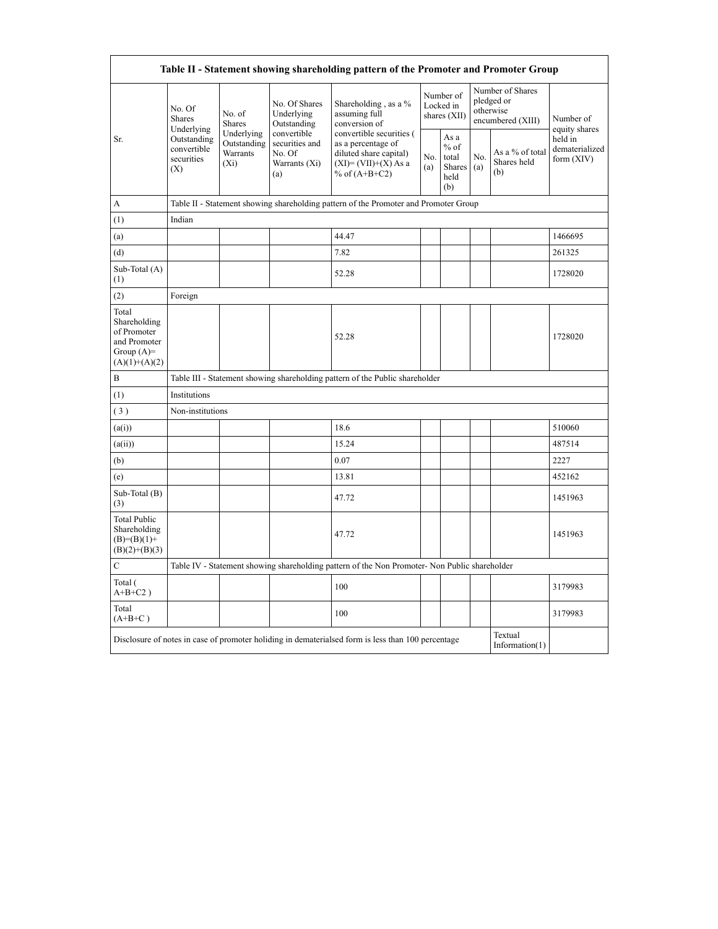|                                                                                         |                                                                                   |                                                  |                                                                 | Table II - Statement showing shareholding pattern of the Promoter and Promoter Group                                 |                                        |                                                  |                                                                  |                                       |                                           |
|-----------------------------------------------------------------------------------------|-----------------------------------------------------------------------------------|--------------------------------------------------|-----------------------------------------------------------------|----------------------------------------------------------------------------------------------------------------------|----------------------------------------|--------------------------------------------------|------------------------------------------------------------------|---------------------------------------|-------------------------------------------|
| Sr.                                                                                     | No. Of<br>Shares<br>Underlying<br>Outstanding<br>convertible<br>securities<br>(X) | No. of<br>Shares                                 | No. Of Shares<br>Underlying<br>Outstanding                      | Shareholding, as a %<br>assuming full<br>conversion of                                                               | Number of<br>Locked in<br>shares (XII) |                                                  | Number of Shares<br>pledged or<br>otherwise<br>encumbered (XIII) |                                       | Number of<br>equity shares                |
|                                                                                         |                                                                                   | Underlying<br>Outstanding<br>Warrants<br>$(X_i)$ | convertible<br>securities and<br>No. Of<br>Warrants (Xi)<br>(a) | convertible securities (<br>as a percentage of<br>diluted share capital)<br>$(XI)=(VII)+(X) As a$<br>% of $(A+B+C2)$ | No.<br>(a)                             | As a<br>$%$ of<br>total<br>Shares<br>held<br>(b) | No.<br>(a)                                                       | As a % of total<br>Shares held<br>(b) | held in<br>dematerialized<br>form $(XIV)$ |
| A                                                                                       |                                                                                   |                                                  |                                                                 | Table II - Statement showing shareholding pattern of the Promoter and Promoter Group                                 |                                        |                                                  |                                                                  |                                       |                                           |
| (1)                                                                                     | Indian                                                                            |                                                  |                                                                 |                                                                                                                      |                                        |                                                  |                                                                  |                                       |                                           |
| (a)                                                                                     |                                                                                   |                                                  |                                                                 | 44.47                                                                                                                |                                        |                                                  |                                                                  |                                       | 1466695                                   |
| (d)                                                                                     |                                                                                   |                                                  |                                                                 | 7.82                                                                                                                 |                                        |                                                  |                                                                  |                                       | 261325                                    |
| Sub-Total (A)<br>(1)                                                                    |                                                                                   |                                                  |                                                                 | 52.28                                                                                                                |                                        |                                                  |                                                                  |                                       | 1728020                                   |
| (2)                                                                                     | Foreign                                                                           |                                                  |                                                                 |                                                                                                                      |                                        |                                                  |                                                                  |                                       |                                           |
| Total<br>Shareholding<br>of Promoter<br>and Promoter<br>Group $(A)=$<br>$(A)(1)+(A)(2)$ |                                                                                   |                                                  |                                                                 | 52.28                                                                                                                |                                        |                                                  |                                                                  |                                       | 1728020                                   |
| B                                                                                       |                                                                                   |                                                  |                                                                 | Table III - Statement showing shareholding pattern of the Public shareholder                                         |                                        |                                                  |                                                                  |                                       |                                           |
| (1)                                                                                     | Institutions                                                                      |                                                  |                                                                 |                                                                                                                      |                                        |                                                  |                                                                  |                                       |                                           |
| $(3)$                                                                                   | Non-institutions                                                                  |                                                  |                                                                 |                                                                                                                      |                                        |                                                  |                                                                  |                                       |                                           |
| (a(i))                                                                                  |                                                                                   |                                                  |                                                                 | 18.6                                                                                                                 |                                        |                                                  |                                                                  |                                       | 510060                                    |
| (a(ii))                                                                                 |                                                                                   |                                                  |                                                                 | 15.24                                                                                                                |                                        |                                                  |                                                                  |                                       | 487514                                    |
| (b)                                                                                     |                                                                                   |                                                  |                                                                 | 0.07                                                                                                                 |                                        |                                                  |                                                                  |                                       | 2227                                      |
| (e)                                                                                     |                                                                                   |                                                  |                                                                 | 13.81                                                                                                                |                                        |                                                  |                                                                  |                                       | 452162                                    |
| Sub-Total (B)<br>(3)                                                                    |                                                                                   |                                                  |                                                                 | 47.72                                                                                                                |                                        |                                                  |                                                                  |                                       | 1451963                                   |
| <b>Total Public</b><br>Shareholding<br>$(B)=(B)(1)+$<br>$(B)(2)+(B)(3)$                 |                                                                                   |                                                  |                                                                 | 47.72                                                                                                                |                                        |                                                  |                                                                  |                                       | 1451963                                   |
| $\mathbf C$                                                                             |                                                                                   |                                                  |                                                                 | Table IV - Statement showing shareholding pattern of the Non Promoter- Non Public shareholder                        |                                        |                                                  |                                                                  |                                       |                                           |
| Total (<br>$A+B+C2$ )                                                                   |                                                                                   |                                                  |                                                                 | 100                                                                                                                  |                                        |                                                  |                                                                  |                                       | 3179983                                   |
| Total<br>$(A+B+C)$                                                                      |                                                                                   |                                                  |                                                                 | 100                                                                                                                  |                                        |                                                  |                                                                  |                                       | 3179983                                   |
|                                                                                         |                                                                                   |                                                  |                                                                 | Disclosure of notes in case of promoter holiding in dematerialsed form is less than 100 percentage                   |                                        |                                                  |                                                                  | Textual<br>Information $(1)$          |                                           |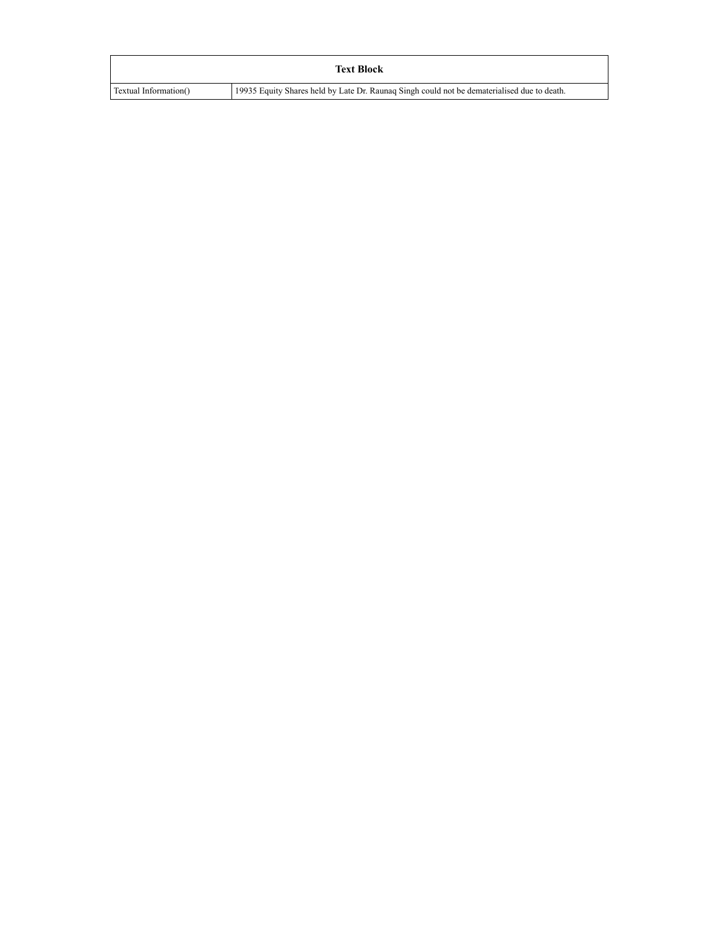|                       | <b>Text Block</b>                                                                           |
|-----------------------|---------------------------------------------------------------------------------------------|
| Textual Information() | 19935 Equity Shares held by Late Dr. Raunaq Singh could not be dematerialised due to death. |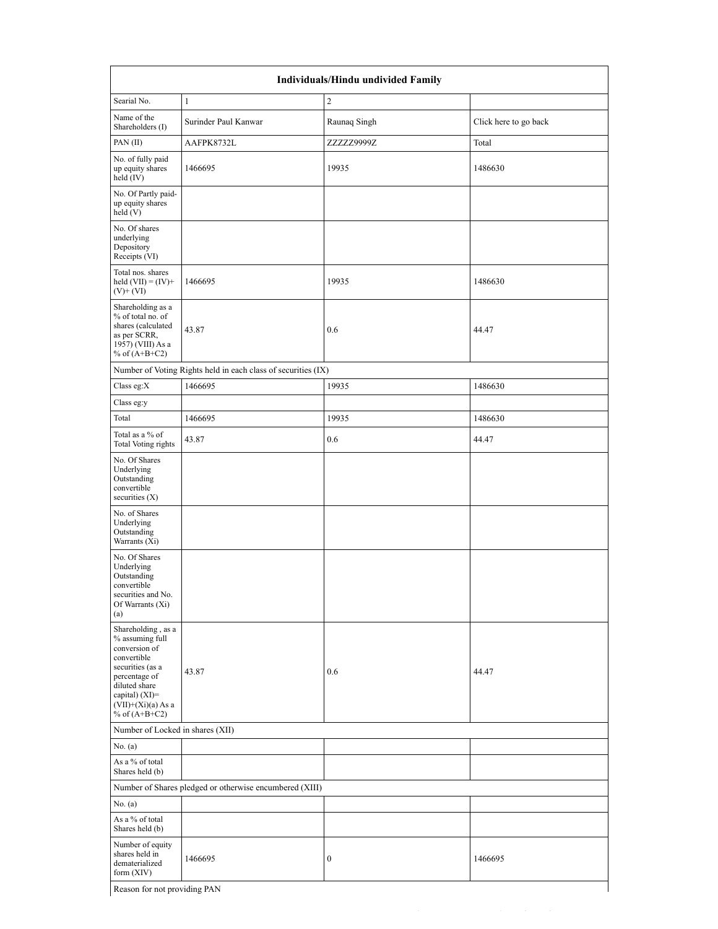| <b>Individuals/Hindu undivided Family</b>                                                                                                                                                   |                                                               |                  |                       |  |  |  |  |
|---------------------------------------------------------------------------------------------------------------------------------------------------------------------------------------------|---------------------------------------------------------------|------------------|-----------------------|--|--|--|--|
| Searial No.                                                                                                                                                                                 | $\mathbf{1}$                                                  | $\overline{c}$   |                       |  |  |  |  |
| Name of the<br>Shareholders (I)                                                                                                                                                             | Surinder Paul Kanwar                                          | Raunaq Singh     | Click here to go back |  |  |  |  |
| PAN(II)                                                                                                                                                                                     | AAFPK8732L                                                    | ZZZZZ9999Z       | Total                 |  |  |  |  |
| No. of fully paid<br>up equity shares<br>held $(IV)$                                                                                                                                        | 1466695                                                       | 19935            | 1486630               |  |  |  |  |
| No. Of Partly paid-<br>up equity shares<br>held(V)                                                                                                                                          |                                                               |                  |                       |  |  |  |  |
| No. Of shares<br>underlying<br>Depository<br>Receipts (VI)                                                                                                                                  |                                                               |                  |                       |  |  |  |  |
| Total nos. shares<br>held $(VII) = (IV) +$<br>$(V)$ + $(VI)$                                                                                                                                | 1466695                                                       | 19935            | 1486630               |  |  |  |  |
| Shareholding as a<br>% of total no. of<br>shares (calculated<br>as per SCRR,<br>1957) (VIII) As a<br>% of $(A+B+C2)$                                                                        | 43.87                                                         | 0.6              | 44.47                 |  |  |  |  |
|                                                                                                                                                                                             | Number of Voting Rights held in each class of securities (IX) |                  |                       |  |  |  |  |
| Class eg:X                                                                                                                                                                                  | 1466695                                                       | 19935            | 1486630               |  |  |  |  |
| Class eg:y                                                                                                                                                                                  |                                                               |                  |                       |  |  |  |  |
| Total                                                                                                                                                                                       | 1466695                                                       | 19935            | 1486630               |  |  |  |  |
| Total as a % of<br>Total Voting rights                                                                                                                                                      | 43.87                                                         | 0.6              | 44.47                 |  |  |  |  |
| No. Of Shares<br>Underlying<br>Outstanding<br>convertible<br>securities $(X)$                                                                                                               |                                                               |                  |                       |  |  |  |  |
| No. of Shares<br>Underlying<br>Outstanding<br>Warrants (Xi)                                                                                                                                 |                                                               |                  |                       |  |  |  |  |
| No. Of Shares<br>Underlying<br>Outstanding<br>convertible<br>securities and No.<br>Of Warrants (Xi)<br>(a)                                                                                  |                                                               |                  |                       |  |  |  |  |
| Shareholding, as a<br>% assuming full<br>conversion of<br>convertible<br>securities (as a<br>percentage of<br>diluted share<br>capital) $(XI)$ =<br>$(VII)+(Xi)(a) As a$<br>% of $(A+B+C2)$ | 43.87                                                         | 0.6              | 44.47                 |  |  |  |  |
| Number of Locked in shares (XII)                                                                                                                                                            |                                                               |                  |                       |  |  |  |  |
| No. (a)                                                                                                                                                                                     |                                                               |                  |                       |  |  |  |  |
| As a % of total<br>Shares held (b)                                                                                                                                                          |                                                               |                  |                       |  |  |  |  |
|                                                                                                                                                                                             | Number of Shares pledged or otherwise encumbered (XIII)       |                  |                       |  |  |  |  |
| No. (a)                                                                                                                                                                                     |                                                               |                  |                       |  |  |  |  |
| As a % of total<br>Shares held (b)                                                                                                                                                          |                                                               |                  |                       |  |  |  |  |
| Number of equity<br>shares held in<br>dematerialized<br>form $(XIV)$                                                                                                                        | 1466695                                                       | $\boldsymbol{0}$ | 1466695               |  |  |  |  |
| Reason for not providing PAN                                                                                                                                                                |                                                               |                  |                       |  |  |  |  |

file:// $\Gamma$ ile:// $\Gamma$ ile:// $\Gamma$ ile:// $\Gamma$ ile:// $\Gamma$ ile:// $\Gamma$ ile:// $\Gamma$ ile:// $\Gamma$ ile:// $\Gamma$ ile:// $\Gamma$ 

Reason for not providing PAN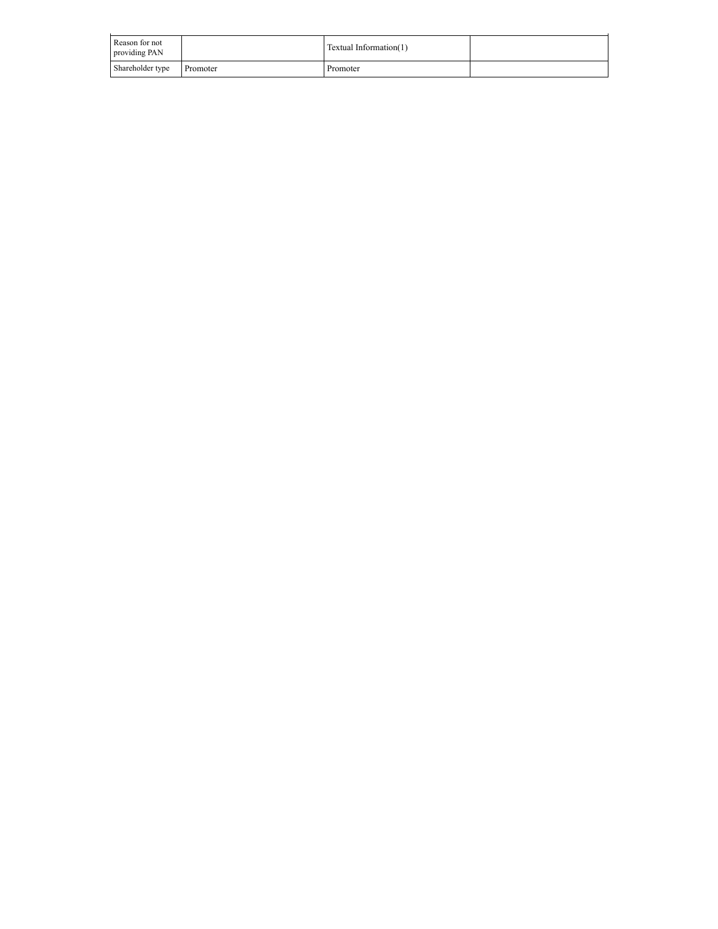| Reason for not<br>providing PAN |          | Textual Information(1) |  |
|---------------------------------|----------|------------------------|--|
| Shareholder type                | Promoter | Promoter               |  |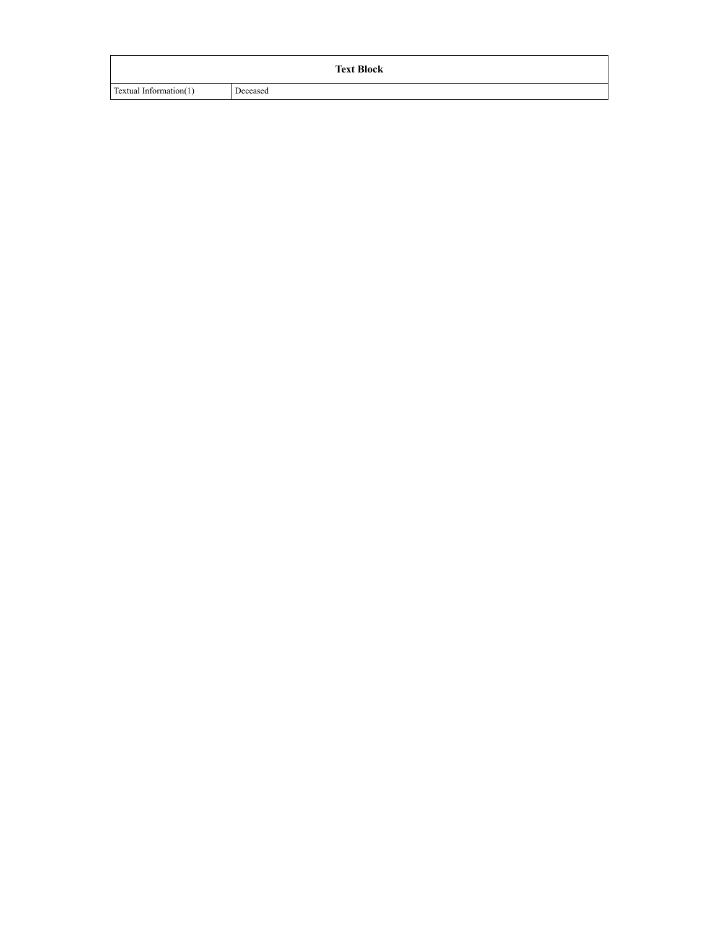|                        | <b>Text Block</b> |
|------------------------|-------------------|
| Textual Information(1) | Deceased          |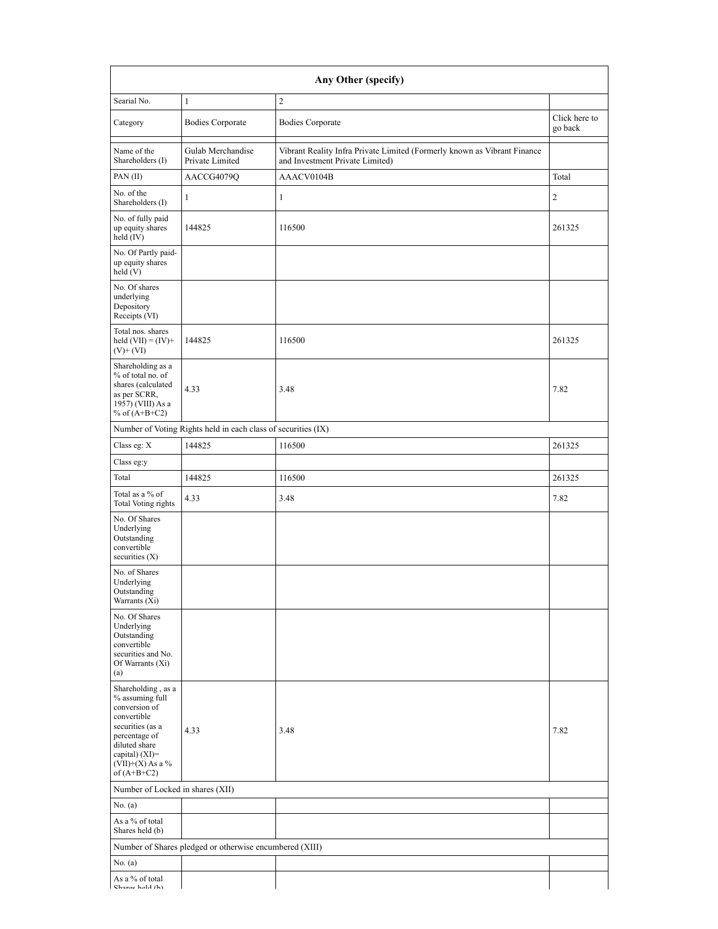| Searial No.<br>$\mathbf{1}$<br>Category<br>Name of the<br>Shareholders (I)<br>PAN (II)<br>No. of the<br>$\mathbf{1}$<br>Shareholders (I)<br>No. of fully paid<br>up equity shares<br>held (IV)<br>No. Of Partly paid-<br>up equity shares<br>held (V)<br>No. Of shares<br>underlying<br>Depository<br>Receipts (VI)<br>Total nos. shares<br>held $(VII) = (IV) +$<br>$(V)$ + $(VI)$<br>Shareholding as a<br>% of total no. of<br>shares (calculated<br>4.33<br>as per SCRR,<br>1957) (VIII) As a<br>% of $(A+B+C2)$<br>Class eg: X<br>Class eg:y<br>Total<br>Total as a % of<br>4.33<br><b>Total Voting rights</b><br>No. Of Shares<br>Underlying<br>Outstanding<br>convertible<br>securities (X)<br>No. of Shares | <b>Bodies Corporate</b><br>Gulab Merchandise<br>Private Limited<br>AACCG4079Q<br>144825<br>144825 | $\overline{c}$<br><b>Bodies Corporate</b><br>Vibrant Reality Infra Private Limited (Formerly known as Vibrant Finance<br>and Investment Private Limited)<br>AAACV0104B<br>$\mathbf{1}$<br>116500<br>116500 | Click here to<br>go back<br>Total<br>$\sqrt{2}$<br>261325 |
|--------------------------------------------------------------------------------------------------------------------------------------------------------------------------------------------------------------------------------------------------------------------------------------------------------------------------------------------------------------------------------------------------------------------------------------------------------------------------------------------------------------------------------------------------------------------------------------------------------------------------------------------------------------------------------------------------------------------|---------------------------------------------------------------------------------------------------|------------------------------------------------------------------------------------------------------------------------------------------------------------------------------------------------------------|-----------------------------------------------------------|
|                                                                                                                                                                                                                                                                                                                                                                                                                                                                                                                                                                                                                                                                                                                    |                                                                                                   |                                                                                                                                                                                                            |                                                           |
|                                                                                                                                                                                                                                                                                                                                                                                                                                                                                                                                                                                                                                                                                                                    |                                                                                                   |                                                                                                                                                                                                            |                                                           |
|                                                                                                                                                                                                                                                                                                                                                                                                                                                                                                                                                                                                                                                                                                                    |                                                                                                   |                                                                                                                                                                                                            |                                                           |
|                                                                                                                                                                                                                                                                                                                                                                                                                                                                                                                                                                                                                                                                                                                    |                                                                                                   |                                                                                                                                                                                                            |                                                           |
|                                                                                                                                                                                                                                                                                                                                                                                                                                                                                                                                                                                                                                                                                                                    |                                                                                                   |                                                                                                                                                                                                            |                                                           |
|                                                                                                                                                                                                                                                                                                                                                                                                                                                                                                                                                                                                                                                                                                                    |                                                                                                   |                                                                                                                                                                                                            |                                                           |
|                                                                                                                                                                                                                                                                                                                                                                                                                                                                                                                                                                                                                                                                                                                    |                                                                                                   |                                                                                                                                                                                                            | 261325                                                    |
|                                                                                                                                                                                                                                                                                                                                                                                                                                                                                                                                                                                                                                                                                                                    |                                                                                                   |                                                                                                                                                                                                            |                                                           |
|                                                                                                                                                                                                                                                                                                                                                                                                                                                                                                                                                                                                                                                                                                                    |                                                                                                   |                                                                                                                                                                                                            |                                                           |
|                                                                                                                                                                                                                                                                                                                                                                                                                                                                                                                                                                                                                                                                                                                    |                                                                                                   | 3.48                                                                                                                                                                                                       | 7.82                                                      |
|                                                                                                                                                                                                                                                                                                                                                                                                                                                                                                                                                                                                                                                                                                                    | Number of Voting Rights held in each class of securities (IX)                                     |                                                                                                                                                                                                            |                                                           |
|                                                                                                                                                                                                                                                                                                                                                                                                                                                                                                                                                                                                                                                                                                                    | 144825                                                                                            | 116500                                                                                                                                                                                                     | 261325                                                    |
|                                                                                                                                                                                                                                                                                                                                                                                                                                                                                                                                                                                                                                                                                                                    |                                                                                                   |                                                                                                                                                                                                            |                                                           |
|                                                                                                                                                                                                                                                                                                                                                                                                                                                                                                                                                                                                                                                                                                                    | 144825                                                                                            | 116500                                                                                                                                                                                                     | 261325                                                    |
|                                                                                                                                                                                                                                                                                                                                                                                                                                                                                                                                                                                                                                                                                                                    |                                                                                                   | 3.48                                                                                                                                                                                                       | 7.82                                                      |
|                                                                                                                                                                                                                                                                                                                                                                                                                                                                                                                                                                                                                                                                                                                    |                                                                                                   |                                                                                                                                                                                                            |                                                           |
| Underlying<br>Outstanding<br>Warrants $(X_i)$                                                                                                                                                                                                                                                                                                                                                                                                                                                                                                                                                                                                                                                                      |                                                                                                   |                                                                                                                                                                                                            |                                                           |
| No. Of Shares<br>Underlying<br>Outstanding<br>convertible<br>securities and No.<br>Of Warrants (Xi)<br>(a)                                                                                                                                                                                                                                                                                                                                                                                                                                                                                                                                                                                                         |                                                                                                   |                                                                                                                                                                                                            |                                                           |
| Shareholding, as a<br>% assuming full<br>conversion of<br>convertible<br>securities (as a<br>4.33<br>percentage of<br>diluted share<br>capital) (XI)=<br>$(VII)+(X)$ As a %<br>of $(A+B+C2)$                                                                                                                                                                                                                                                                                                                                                                                                                                                                                                                       |                                                                                                   | 3.48                                                                                                                                                                                                       | 7.82                                                      |
| Number of Locked in shares (XII)                                                                                                                                                                                                                                                                                                                                                                                                                                                                                                                                                                                                                                                                                   |                                                                                                   |                                                                                                                                                                                                            |                                                           |
| No. $(a)$                                                                                                                                                                                                                                                                                                                                                                                                                                                                                                                                                                                                                                                                                                          |                                                                                                   |                                                                                                                                                                                                            |                                                           |
| As a % of total<br>Shares held (b)                                                                                                                                                                                                                                                                                                                                                                                                                                                                                                                                                                                                                                                                                 |                                                                                                   |                                                                                                                                                                                                            |                                                           |
|                                                                                                                                                                                                                                                                                                                                                                                                                                                                                                                                                                                                                                                                                                                    | Number of Shares pledged or otherwise encumbered (XIII)                                           |                                                                                                                                                                                                            |                                                           |
| No. (a)                                                                                                                                                                                                                                                                                                                                                                                                                                                                                                                                                                                                                                                                                                            |                                                                                                   |                                                                                                                                                                                                            |                                                           |
| As a % of total<br>Charachald (h)                                                                                                                                                                                                                                                                                                                                                                                                                                                                                                                                                                                                                                                                                  |                                                                                                   |                                                                                                                                                                                                            |                                                           |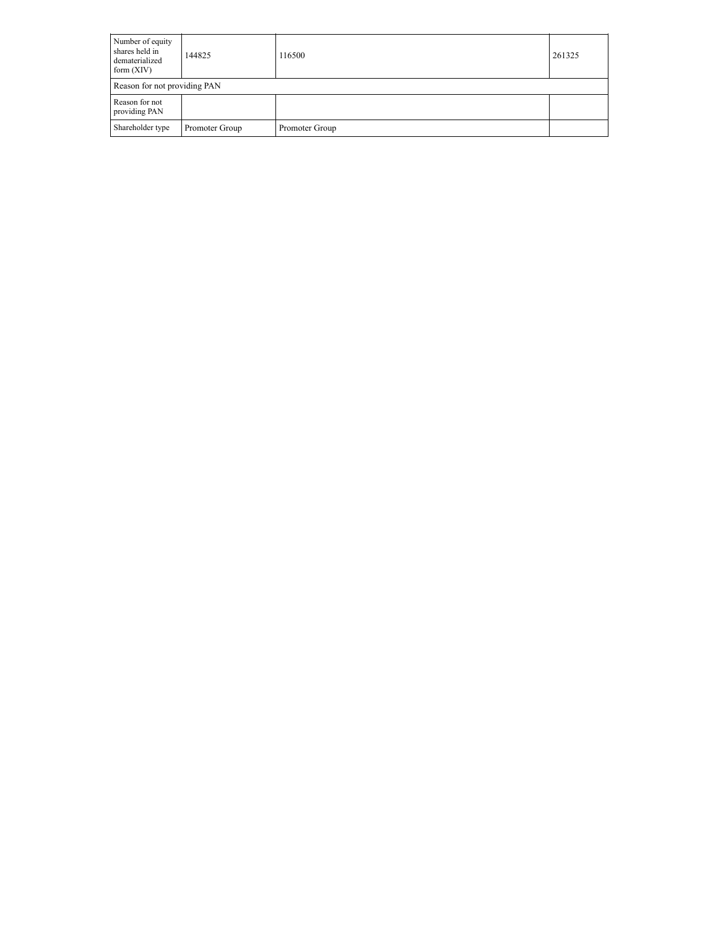| Number of equity<br>shares held in<br>dematerialized<br>form $(XIV)$ | 144825         | 116500         | 261325 |  |  |  |  |
|----------------------------------------------------------------------|----------------|----------------|--------|--|--|--|--|
| Reason for not providing PAN                                         |                |                |        |  |  |  |  |
| Reason for not<br>providing PAN                                      |                |                |        |  |  |  |  |
| Shareholder type                                                     | Promoter Group | Promoter Group |        |  |  |  |  |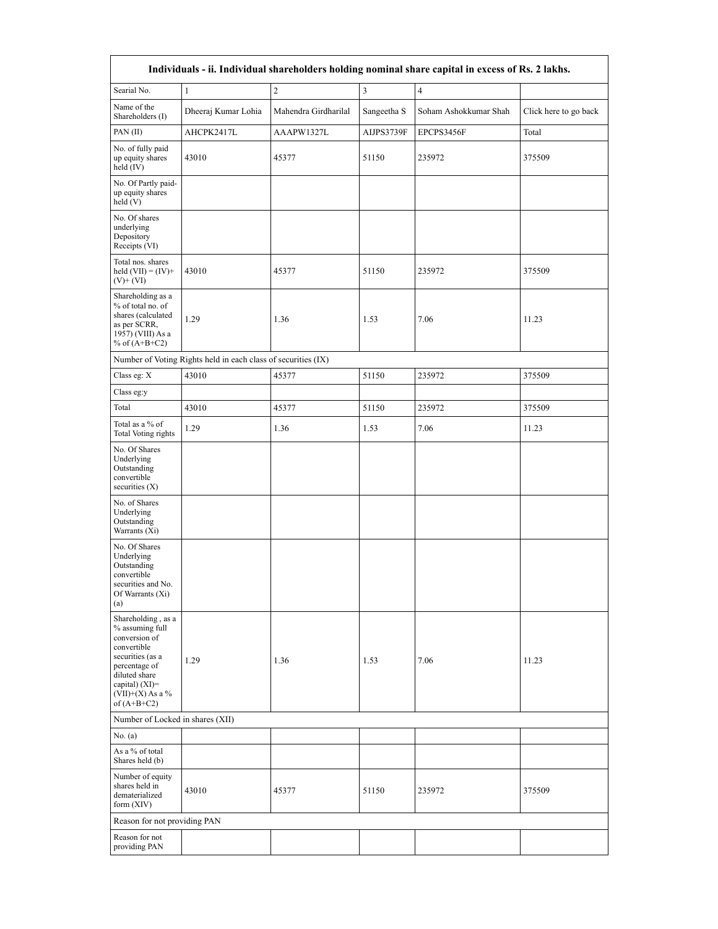| Individuals - ii. Individual shareholders holding nominal share capital in excess of Rs. 2 lakhs.                                                                                      |                                                               |                      |                         |                       |                       |  |  |  |  |  |
|----------------------------------------------------------------------------------------------------------------------------------------------------------------------------------------|---------------------------------------------------------------|----------------------|-------------------------|-----------------------|-----------------------|--|--|--|--|--|
| Searial No.                                                                                                                                                                            | $\mathbf{1}$                                                  | $\sqrt{2}$           | $\overline{\mathbf{3}}$ | $\overline{4}$        |                       |  |  |  |  |  |
| Name of the<br>Shareholders (I)                                                                                                                                                        | Dheeraj Kumar Lohia                                           | Mahendra Girdharilal | Sangeetha S             | Soham Ashokkumar Shah | Click here to go back |  |  |  |  |  |
| PAN (II)                                                                                                                                                                               | AHCPK2417L                                                    | AAAPW1327L           | AIJPS3739F              | EPCPS3456F            | Total                 |  |  |  |  |  |
| No. of fully paid<br>up equity shares<br>held (IV)                                                                                                                                     | 43010                                                         | 45377                | 51150                   | 235972                | 375509                |  |  |  |  |  |
| No. Of Partly paid-<br>up equity shares<br>held (V)                                                                                                                                    |                                                               |                      |                         |                       |                       |  |  |  |  |  |
| No. Of shares<br>underlying<br>Depository<br>Receipts (VI)                                                                                                                             |                                                               |                      |                         |                       |                       |  |  |  |  |  |
| Total nos. shares<br>held $(VII) = (IV) +$<br>$(V)$ + $(VI)$                                                                                                                           | 43010                                                         | 45377                | 51150                   | 235972                | 375509                |  |  |  |  |  |
| Shareholding as a<br>% of total no. of<br>shares (calculated<br>as per SCRR,<br>1957) (VIII) As a<br>% of $(A+B+C2)$                                                                   | 1.29                                                          | 1.36                 | 7.06<br>1.53            |                       | 11.23                 |  |  |  |  |  |
|                                                                                                                                                                                        | Number of Voting Rights held in each class of securities (IX) |                      |                         |                       |                       |  |  |  |  |  |
| Class eg: X                                                                                                                                                                            | 43010                                                         | 45377                | 51150                   | 235972                | 375509                |  |  |  |  |  |
| Class eg:y                                                                                                                                                                             |                                                               |                      |                         |                       |                       |  |  |  |  |  |
| Total                                                                                                                                                                                  | 43010                                                         | 45377                | 51150                   | 235972                | 375509                |  |  |  |  |  |
| Total as a % of<br>Total Voting rights                                                                                                                                                 | 1.29                                                          | 1.36                 | 1.53                    | 7.06                  | 11.23                 |  |  |  |  |  |
| No. Of Shares<br>Underlying<br>Outstanding<br>convertible<br>securities $(X)$                                                                                                          |                                                               |                      |                         |                       |                       |  |  |  |  |  |
| No. of Shares<br>Underlying<br>Outstanding<br>Warrants (Xi)                                                                                                                            |                                                               |                      |                         |                       |                       |  |  |  |  |  |
| No. Of Shares<br>Underlying<br>Outstanding<br>convertible<br>securities and No.<br>Of Warrants (Xi)<br>(a)                                                                             |                                                               |                      |                         |                       |                       |  |  |  |  |  |
| Shareholding, as a<br>% assuming full<br>conversion of<br>convertible<br>securities (as a<br>percentage of<br>diluted share<br>capital) $(XI)=$<br>$(VII)+(X)$ As a %<br>of $(A+B+C2)$ | 1.29                                                          | 1.36                 | 1.53                    | 7.06                  | 11.23                 |  |  |  |  |  |
| Number of Locked in shares (XII)                                                                                                                                                       |                                                               |                      |                         |                       |                       |  |  |  |  |  |
| No. (a)                                                                                                                                                                                |                                                               |                      |                         |                       |                       |  |  |  |  |  |
| As a % of total<br>Shares held (b)                                                                                                                                                     |                                                               |                      |                         |                       |                       |  |  |  |  |  |
| Number of equity<br>shares held in<br>dematerialized<br>form $(XIV)$                                                                                                                   | 43010                                                         | 45377                | 51150                   | 235972                | 375509                |  |  |  |  |  |
| Reason for not providing PAN                                                                                                                                                           |                                                               |                      |                         |                       |                       |  |  |  |  |  |
| Reason for not<br>providing PAN                                                                                                                                                        |                                                               |                      |                         |                       |                       |  |  |  |  |  |

 $\mathsf{r}$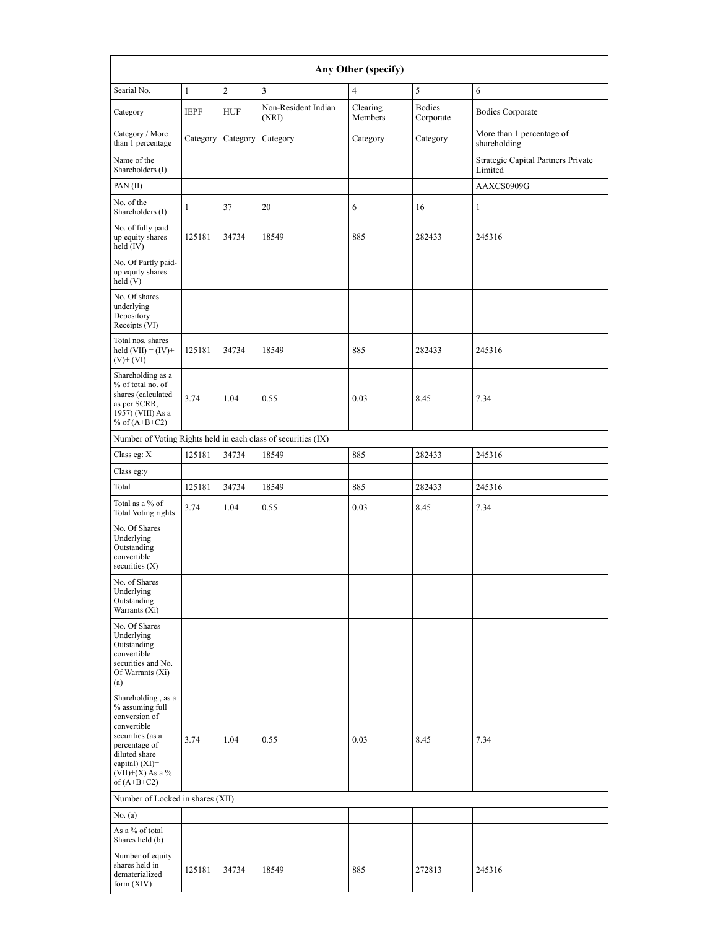| Any Other (specify)                                                                                                                                                                  |                      |                |                                                               |                     |                            |                                               |  |  |  |  |
|--------------------------------------------------------------------------------------------------------------------------------------------------------------------------------------|----------------------|----------------|---------------------------------------------------------------|---------------------|----------------------------|-----------------------------------------------|--|--|--|--|
| Searial No.                                                                                                                                                                          | $\mathbf{1}$         | $\overline{c}$ | 3                                                             | $\overline{4}$      | 5                          | 6                                             |  |  |  |  |
| Category                                                                                                                                                                             | <b>IEPF</b>          | <b>HUF</b>     | Non-Resident Indian<br>(NRI)                                  | Clearing<br>Members | <b>Bodies</b><br>Corporate | <b>Bodies Corporate</b>                       |  |  |  |  |
| Category / More<br>than 1 percentage                                                                                                                                                 | Category             | Category       | Category                                                      | Category            | Category                   | More than 1 percentage of<br>shareholding     |  |  |  |  |
| Name of the<br>Shareholders (I)                                                                                                                                                      |                      |                |                                                               |                     |                            | Strategic Capital Partners Private<br>Limited |  |  |  |  |
| PAN(II)                                                                                                                                                                              |                      |                |                                                               |                     |                            | AAXCS0909G                                    |  |  |  |  |
| No. of the<br>Shareholders (I)                                                                                                                                                       | $\mathbf{1}$         | 37             | 20                                                            | 6                   | 16                         | $\mathbf{1}$                                  |  |  |  |  |
| No. of fully paid<br>up equity shares<br>held (IV)                                                                                                                                   | 125181               | 34734          | 18549                                                         | 885                 | 282433                     | 245316                                        |  |  |  |  |
| No. Of Partly paid-<br>up equity shares<br>$\text{held}$ (V)                                                                                                                         |                      |                |                                                               |                     |                            |                                               |  |  |  |  |
| No. Of shares<br>underlying<br>Depository<br>Receipts (VI)                                                                                                                           |                      |                |                                                               |                     |                            |                                               |  |  |  |  |
| Total nos. shares<br>held $(VII) = (IV) +$<br>$(V)$ + $(VI)$                                                                                                                         | 125181               | 34734          | 18549                                                         | 885                 | 282433                     | 245316                                        |  |  |  |  |
| Shareholding as a<br>% of total no. of<br>shares (calculated<br>as per SCRR,<br>1957) (VIII) As a<br>% of $(A+B+C2)$                                                                 | 3.74<br>1.04<br>0.55 |                | 8.45<br>0.03                                                  |                     | 7.34                       |                                               |  |  |  |  |
|                                                                                                                                                                                      |                      |                | Number of Voting Rights held in each class of securities (IX) |                     |                            |                                               |  |  |  |  |
| Class eg: X                                                                                                                                                                          | 125181               | 34734          | 18549                                                         | 885                 | 282433                     | 245316                                        |  |  |  |  |
| Class eg:y                                                                                                                                                                           |                      |                |                                                               |                     |                            |                                               |  |  |  |  |
| Total                                                                                                                                                                                | 125181               | 34734          | 18549                                                         | 885                 | 282433                     | 245316                                        |  |  |  |  |
| Total as a % of<br>Total Voting rights                                                                                                                                               | 3.74                 | 1.04           | 0.55                                                          | 0.03                | 8.45                       | 7.34                                          |  |  |  |  |
| No. Of Shares<br>Underlying<br>Outstanding<br>convertible<br>securities $(X)$                                                                                                        |                      |                |                                                               |                     |                            |                                               |  |  |  |  |
| No. of Shares<br>Underlying<br>Outstanding<br>Warrants (Xi)                                                                                                                          |                      |                |                                                               |                     |                            |                                               |  |  |  |  |
| No. Of Shares<br>Underlying<br>Outstanding<br>convertible<br>securities and No.<br>Of Warrants (Xi)<br>(a)                                                                           |                      |                |                                                               |                     |                            |                                               |  |  |  |  |
| Shareholding, as a<br>% assuming full<br>conversion of<br>convertible<br>securities (as a<br>percentage of<br>diluted share<br>capital) (XI)=<br>$(VII)+(X)$ As a %<br>of $(A+B+C2)$ | 3.74                 | 1.04           | 0.55                                                          | 0.03                | 8.45                       | 7.34                                          |  |  |  |  |
| Number of Locked in shares (XII)                                                                                                                                                     |                      |                |                                                               |                     |                            |                                               |  |  |  |  |
| No. $(a)$                                                                                                                                                                            |                      |                |                                                               |                     |                            |                                               |  |  |  |  |
| As a % of total<br>Shares held (b)                                                                                                                                                   |                      |                |                                                               |                     |                            |                                               |  |  |  |  |
| Number of equity<br>shares held in<br>dematerialized<br>form $(XIV)$                                                                                                                 | 125181               | 34734          | 18549                                                         | 885                 | 272813                     | 245316                                        |  |  |  |  |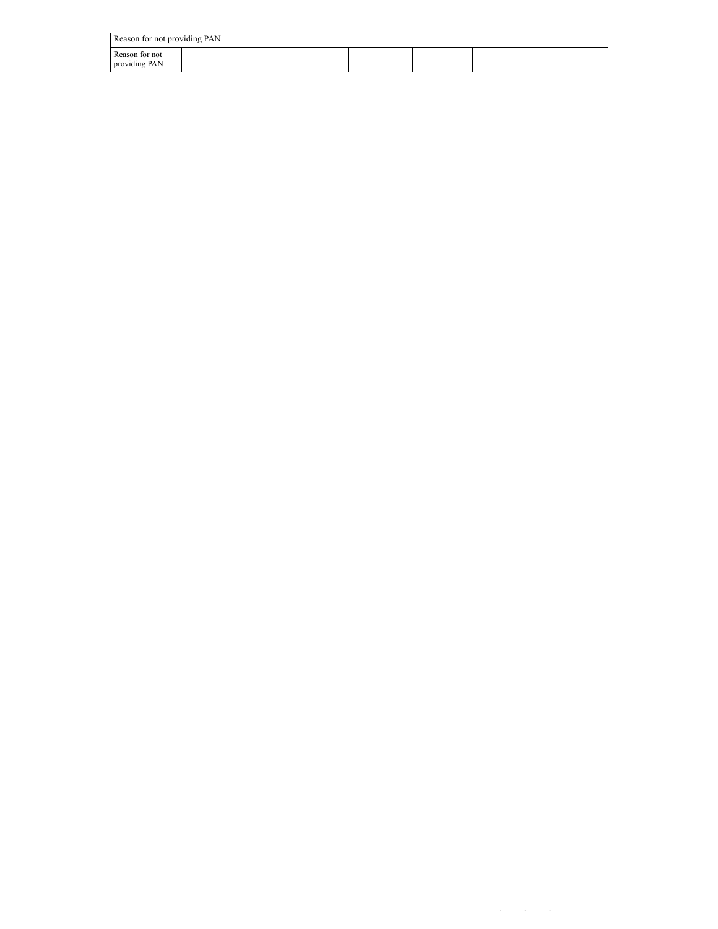Reason for not providing PAN

| $\sim$ Reason for not providing $1 \text{A}1$ |  |  |  |  |  |  |  |  |  |  |  |
|-----------------------------------------------|--|--|--|--|--|--|--|--|--|--|--|
| Reason for not<br>providing PAN               |  |  |  |  |  |  |  |  |  |  |  |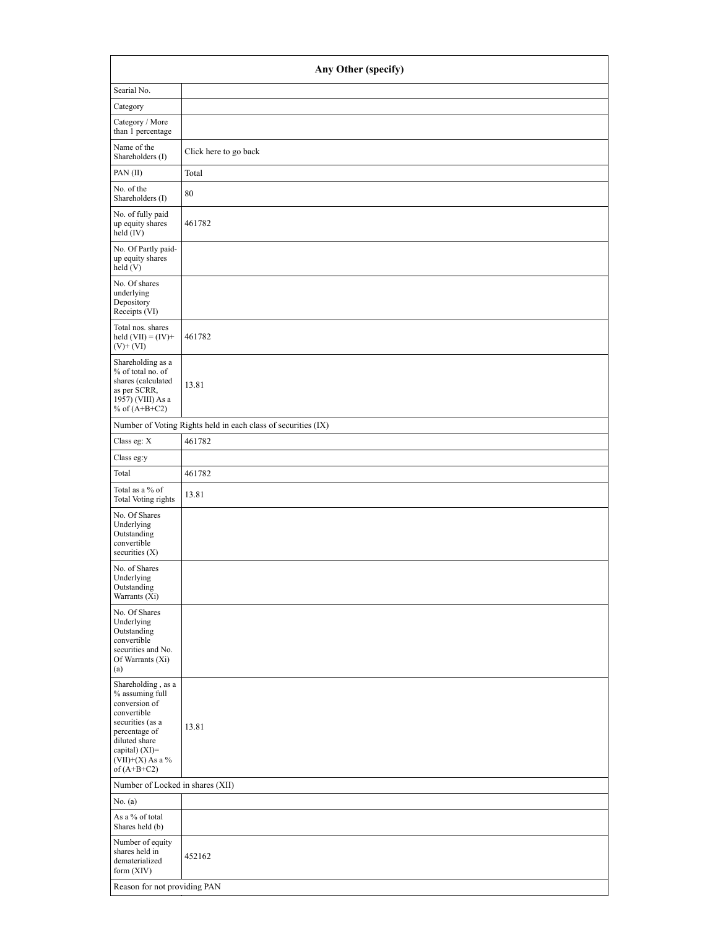| Any Other (specify)                                                                                                                                                                    |                                                               |  |  |  |  |  |  |  |
|----------------------------------------------------------------------------------------------------------------------------------------------------------------------------------------|---------------------------------------------------------------|--|--|--|--|--|--|--|
| Searial No.                                                                                                                                                                            |                                                               |  |  |  |  |  |  |  |
| Category                                                                                                                                                                               |                                                               |  |  |  |  |  |  |  |
| Category / More<br>than 1 percentage                                                                                                                                                   |                                                               |  |  |  |  |  |  |  |
| Name of the<br>Shareholders (I)                                                                                                                                                        | Click here to go back                                         |  |  |  |  |  |  |  |
| PAN (II)                                                                                                                                                                               | Total                                                         |  |  |  |  |  |  |  |
| No. of the<br>Shareholders (I)                                                                                                                                                         | 80                                                            |  |  |  |  |  |  |  |
| No. of fully paid<br>up equity shares<br>held (IV)                                                                                                                                     | 461782                                                        |  |  |  |  |  |  |  |
| No. Of Partly paid-<br>up equity shares<br>held (V)                                                                                                                                    |                                                               |  |  |  |  |  |  |  |
| No. Of shares<br>underlying<br>Depository<br>Receipts (VI)                                                                                                                             |                                                               |  |  |  |  |  |  |  |
| Total nos. shares<br>held $(VII) = (IV) +$<br>$(V)$ + $(VI)$                                                                                                                           | 461782                                                        |  |  |  |  |  |  |  |
| Shareholding as a<br>% of total no. of<br>shares (calculated<br>as per SCRR,<br>1957) (VIII) As a<br>% of $(A+B+C2)$                                                                   | 13.81                                                         |  |  |  |  |  |  |  |
|                                                                                                                                                                                        | Number of Voting Rights held in each class of securities (IX) |  |  |  |  |  |  |  |
| Class eg: $\mathbf X$                                                                                                                                                                  | 461782                                                        |  |  |  |  |  |  |  |
| Class eg:y                                                                                                                                                                             |                                                               |  |  |  |  |  |  |  |
| Total                                                                                                                                                                                  | 461782                                                        |  |  |  |  |  |  |  |
| Total as a % of<br>Total Voting rights                                                                                                                                                 | 13.81                                                         |  |  |  |  |  |  |  |
| No. Of Shares<br>Underlying<br>Outstanding<br>convertible<br>securities $(X)$                                                                                                          |                                                               |  |  |  |  |  |  |  |
| No. of Shares<br>Underlying<br>Outstanding<br>Warrants (Xi)                                                                                                                            |                                                               |  |  |  |  |  |  |  |
| No. Of Shares<br>Underlying<br>Outstanding<br>convertible<br>securities and No.<br>Of Warrants (Xi)<br>(a)                                                                             |                                                               |  |  |  |  |  |  |  |
| Shareholding, as a<br>% assuming full<br>conversion of<br>convertible<br>securities (as a<br>percentage of<br>diluted share<br>capital) $(XI)=$<br>$(VII)+(X)$ As a %<br>of $(A+B+C2)$ | 13.81                                                         |  |  |  |  |  |  |  |
| Number of Locked in shares (XII)                                                                                                                                                       |                                                               |  |  |  |  |  |  |  |
| No. (a)                                                                                                                                                                                |                                                               |  |  |  |  |  |  |  |
| As a % of total<br>Shares held (b)                                                                                                                                                     |                                                               |  |  |  |  |  |  |  |
| Number of equity<br>shares held in<br>dematerialized<br>form $(XIV)$                                                                                                                   | 452162                                                        |  |  |  |  |  |  |  |
| Reason for not providing PAN                                                                                                                                                           |                                                               |  |  |  |  |  |  |  |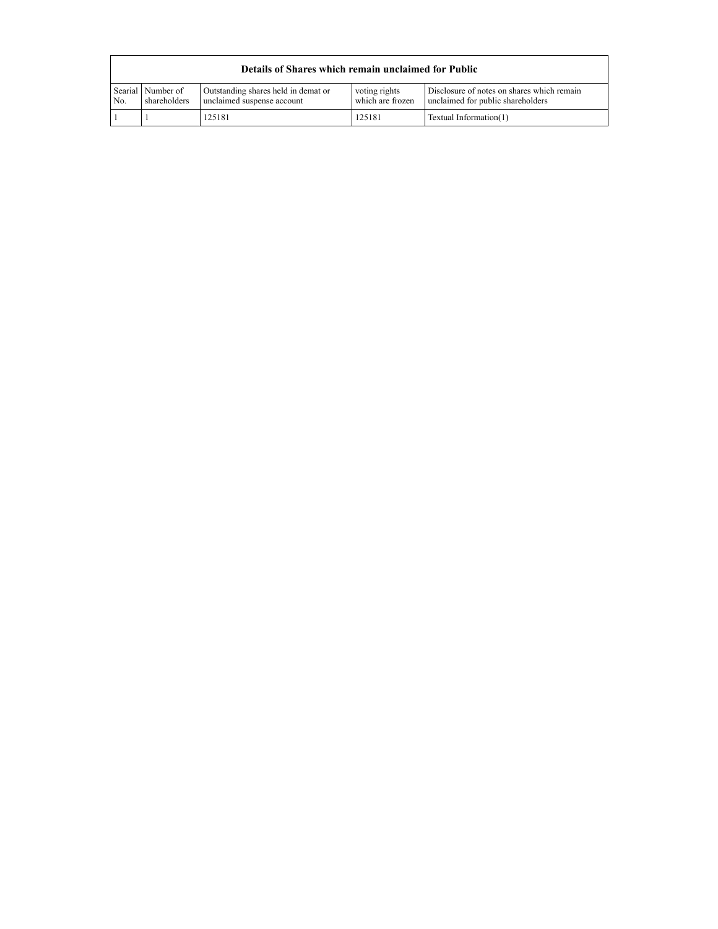| No. | Searial Number of | Outstanding shares held in demat or | voting rights    | Disclosure of notes on shares which remain |
|-----|-------------------|-------------------------------------|------------------|--------------------------------------------|
|     | shareholders      | unclaimed suspense account          | which are frozen | unclaimed for public shareholders          |
|     |                   | 125181                              | 125181           | Textual Information(1)                     |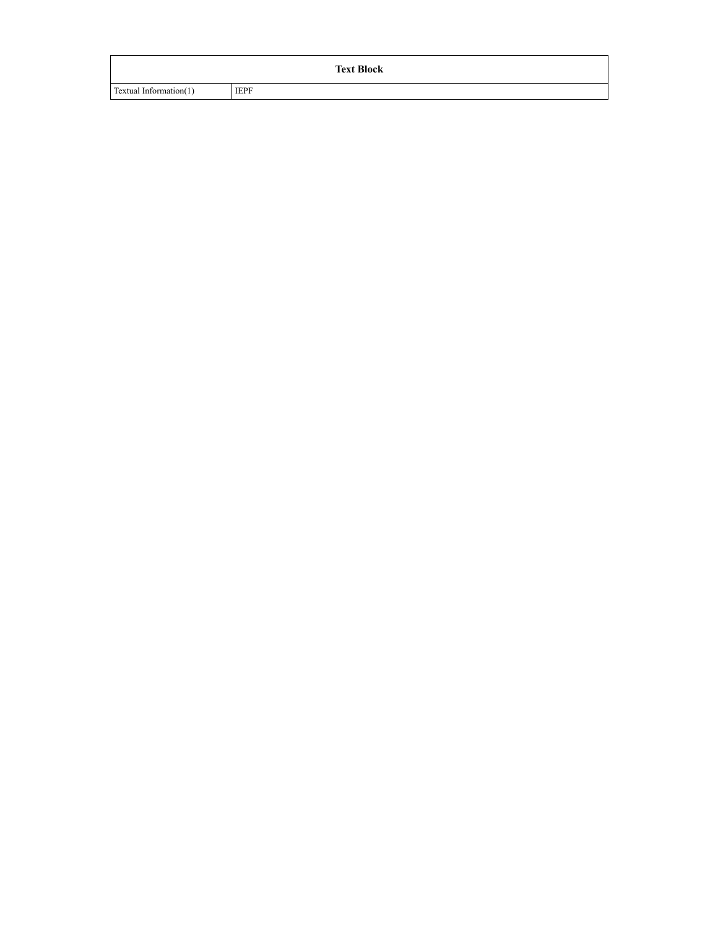|                        |             | <b>Text Block</b> |
|------------------------|-------------|-------------------|
| Textual Information(1) | <b>IEPF</b> |                   |